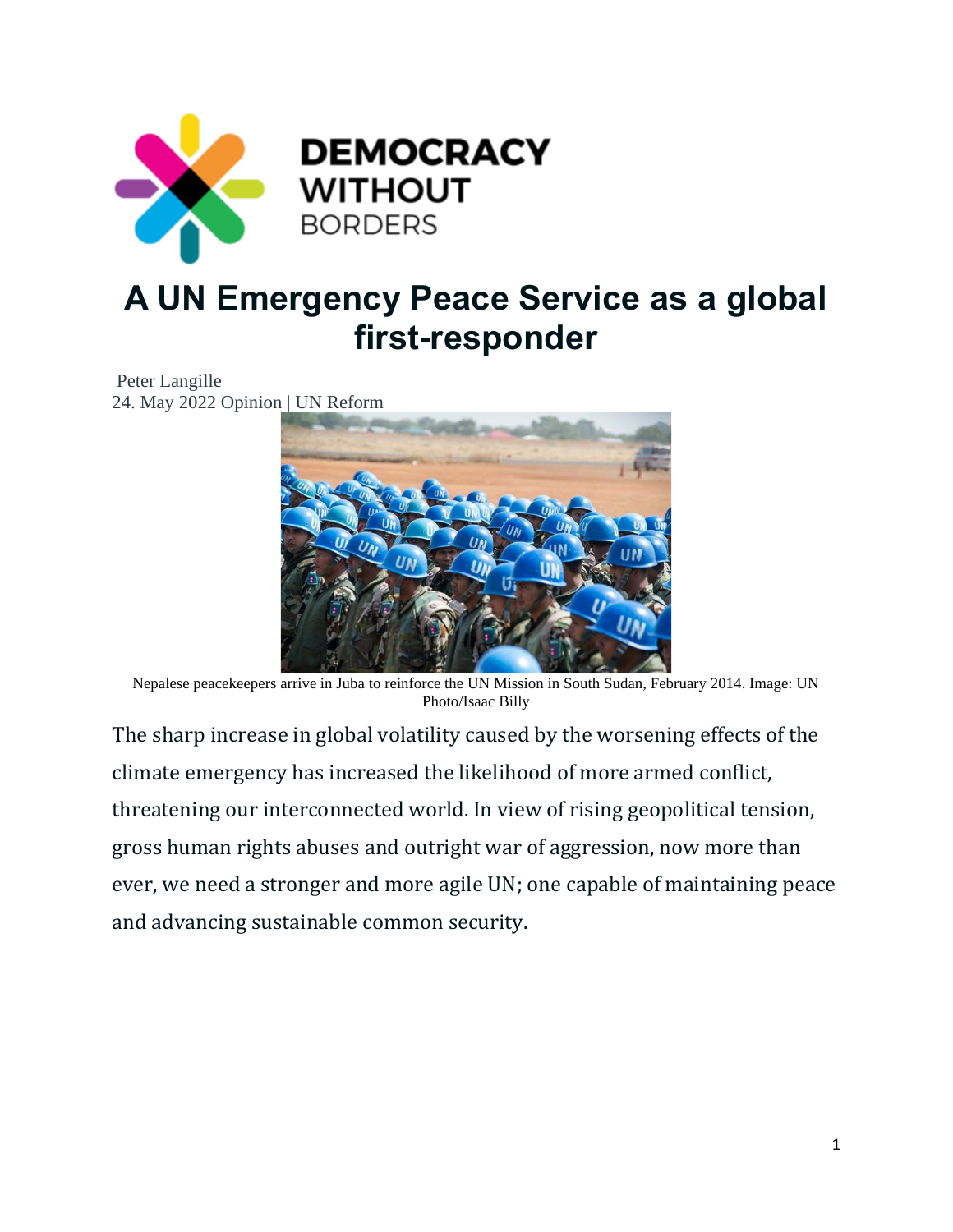

# **A UN Emergency Peace Service as a global first-responder**

#### Peter Langille 24. May 2022 [Opinion](https://www.democracywithoutborders.org/category/opinion/) | [UN Reform](https://www.democracywithoutborders.org/category/global-order/un-reform/)



Nepalese peacekeepers arrive in Juba to reinforce the UN Mission in South Sudan, February 2014. Image: UN Photo/Isaac Billy

The sharp increase in global volatility caused by the worsening effects of the climate emergency has increased the likelihood of more armed conflict, threatening our interconnected world. In view of rising geopolitical tension, gross human rights abuses and outright war of aggression, now more than ever, we need a stronger and more agile UN; one capable of maintaining peace and advancing sustainable common security.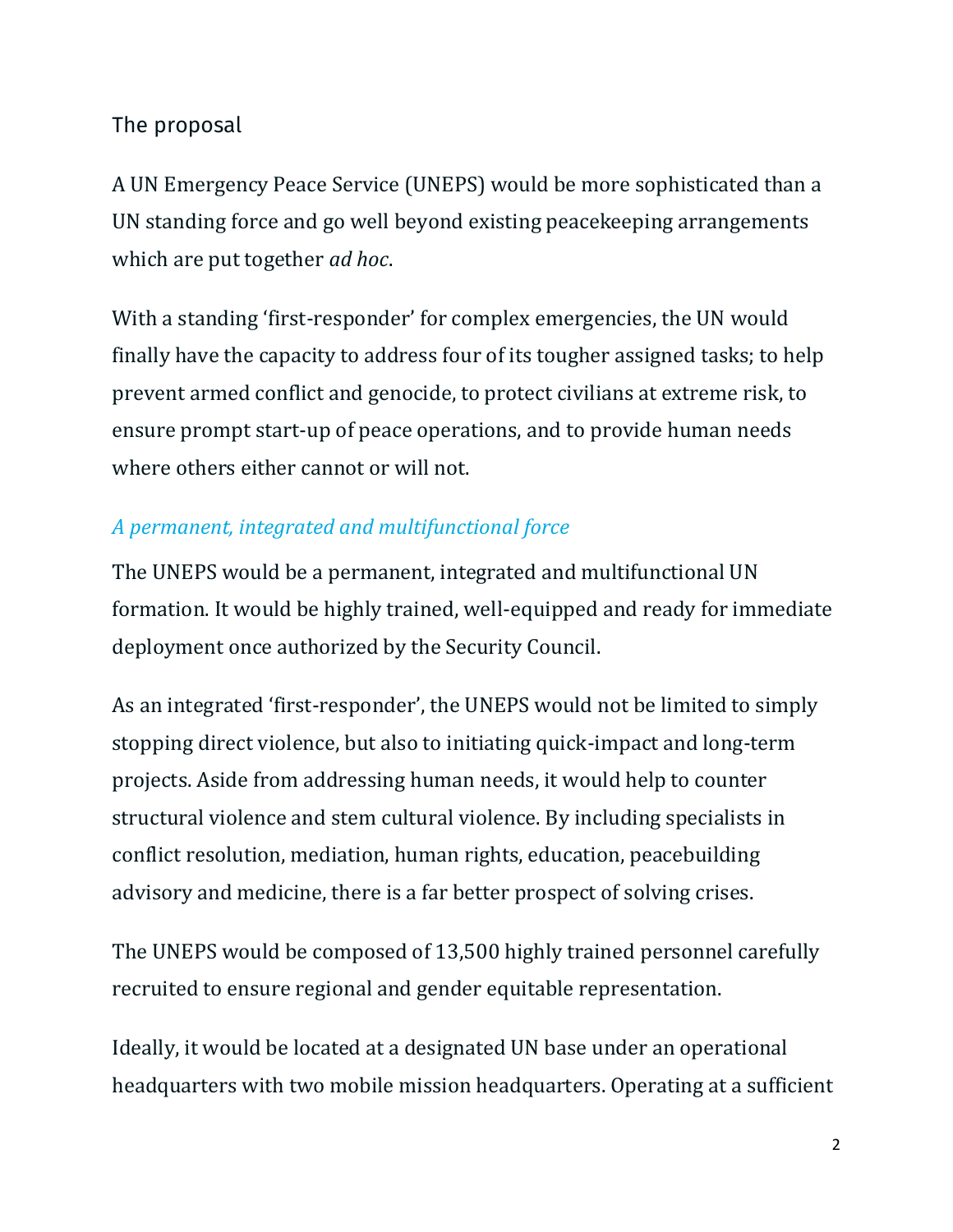# The proposal

A UN Emergency Peace Service (UNEPS) would be more sophisticated than a UN standing force and go well beyond existing peacekeeping arrangements which are put together *ad hoc*.

With a standing 'first-responder' for complex emergencies, the UN would finally have the capacity to address four of its tougher assigned tasks; to help prevent armed conflict and genocide, to protect civilians at extreme risk, to ensure prompt start-up of peace operations, and to provide human needs where others either cannot or will not.

# *A permanent, integrated and multifunctional force*

The UNEPS would be a permanent, integrated and multifunctional UN formation. It would be highly trained, well-equipped and ready for immediate deployment once authorized by the Security Council.

As an integrated 'first-responder', the UNEPS would not be limited to simply stopping direct violence, but also to initiating quick-impact and long-term projects. Aside from addressing human needs, it would help to counter structural violence and stem cultural violence. By including specialists in conflict resolution, mediation, human rights, education, peacebuilding advisory and medicine, there is a far better prospect of solving crises.

The UNEPS would be composed of 13,500 highly trained personnel carefully recruited to ensure regional and gender equitable representation.

Ideally, it would be located at a designated UN base under an operational headquarters with two mobile mission headquarters. Operating at a sufficient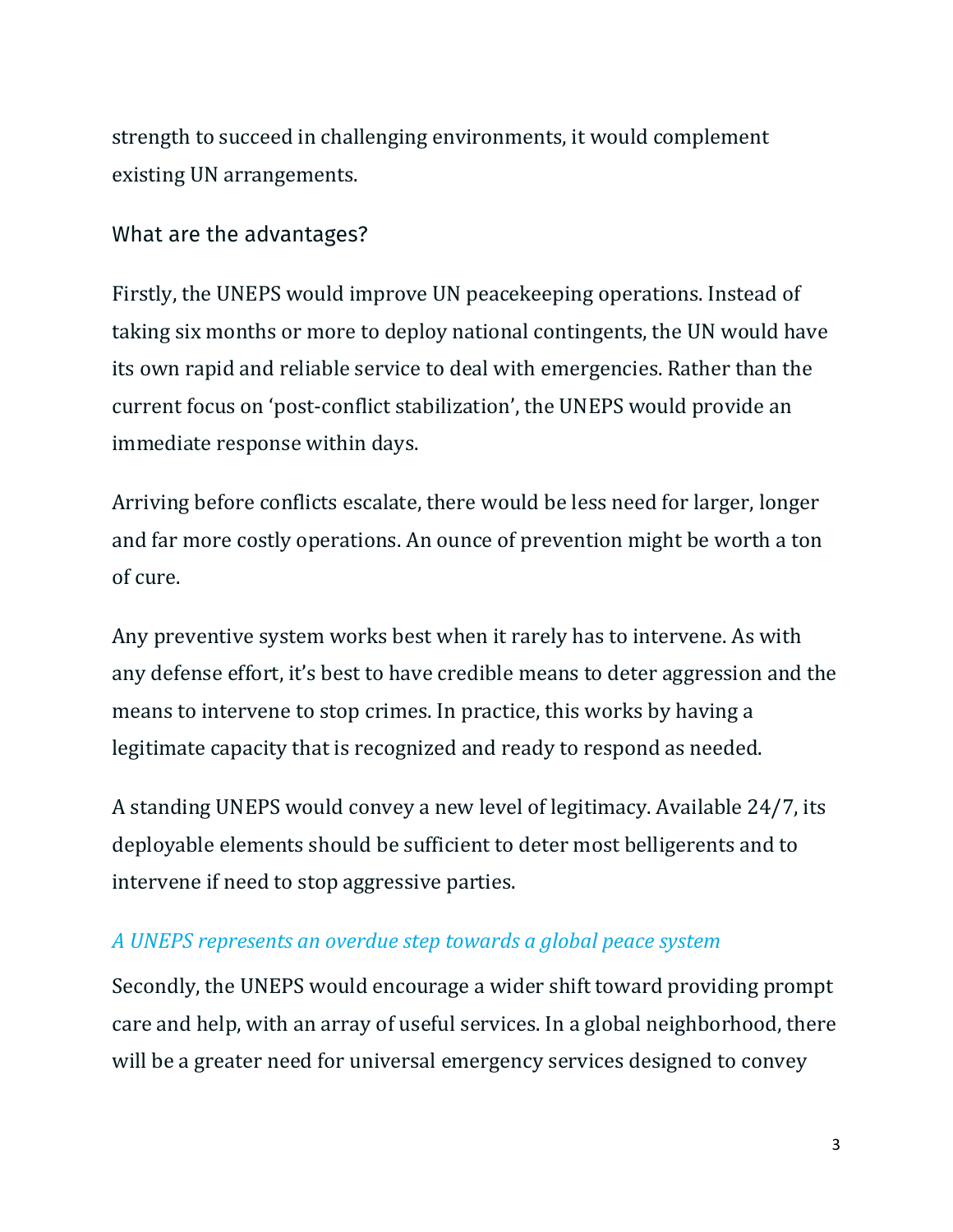strength to succeed in challenging environments, it would complement existing UN arrangements.

## What are the advantages?

Firstly, the UNEPS would improve UN peacekeeping operations. Instead of taking six months or more to deploy national contingents, the UN would have its own rapid and reliable service to deal with emergencies. Rather than the current focus on 'post-conflict stabilization', the UNEPS would provide an immediate response within days.

Arriving before conflicts escalate, there would be less need for larger, longer and far more costly operations. An ounce of prevention might be worth a ton of cure.

Any preventive system works best when it rarely has to intervene. As with any defense effort, it's best to have credible means to deter aggression and the means to intervene to stop crimes. In practice, this works by having a legitimate capacity that is recognized and ready to respond as needed.

A standing UNEPS would convey a new level of legitimacy. Available 24/7, its deployable elements should be sufficient to deter most belligerents and to intervene if need to stop aggressive parties.

## *A UNEPS represents an overdue step towards a global peace system*

Secondly, the UNEPS would encourage a wider shift toward providing prompt care and help, with an array of useful services. In a global neighborhood, there will be a greater need for universal emergency services designed to convey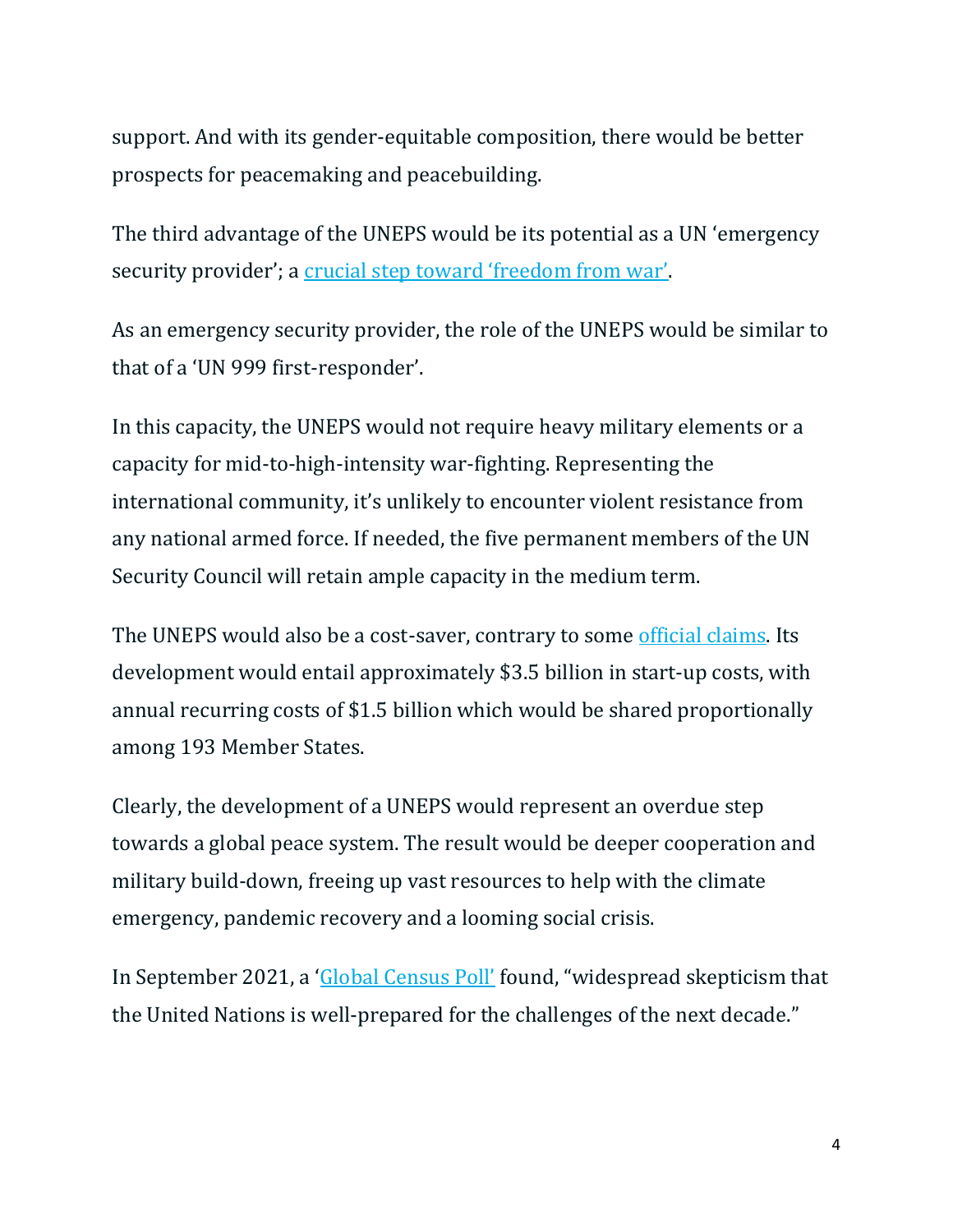support. And with its gender-equitable composition, there would be better prospects for peacemaking and peacebuilding.

The third advantage of the UNEPS would be its potential as a UN 'emergency security provider'; a [crucial step toward 'freedom from war'](https://www.commondreams.org/views/2021/06/12/crucial-global-step-achieve-freedom-war).

As an emergency security provider, the role of the UNEPS would be similar to that of a 'UN 999 first-responder'.

In this capacity, the UNEPS would not require heavy military elements or a capacity for mid-to-high-intensity war-fighting. Representing the international community, it's unlikely to encounter violent resistance from any national armed force. If needed, the five permanent members of the UN Security Council will retain ample capacity in the medium term.

The UNEPS would also be a cost-saver, contrary to some [official claims.](https://peacekeeping.un.org/en/military) Its development would entail approximately \$3.5 billion in start-up costs, with annual recurring costs of \$1.5 billion which would be shared proportionally among 193 Member States.

Clearly, the development of a UNEPS would represent an overdue step towards a global peace system. The result would be deeper cooperation and military build-down, freeing up vast resources to help with the climate emergency, pandemic recovery and a looming social crisis.

In September 2021, a ['Global Census Poll'](https://ny.fes.de/article/global-census-poll) found, "widespread skepticism that the United Nations is well-prepared for the challenges of the next decade."